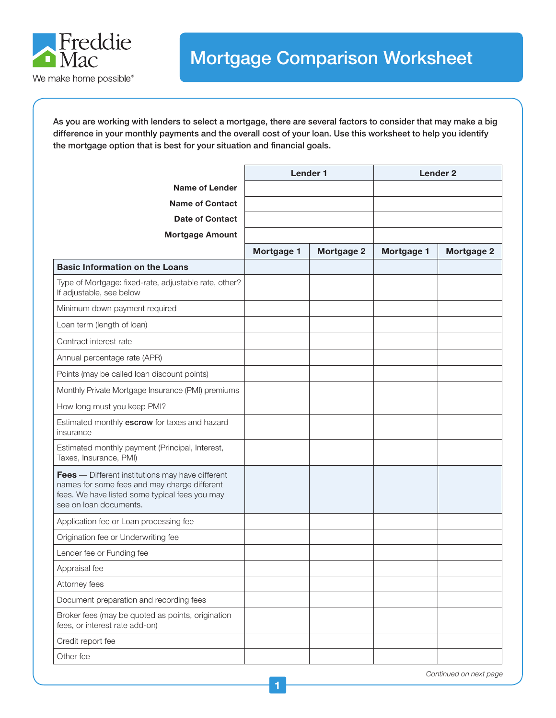

As you are working with lenders to select a mortgage, there are several factors to consider that may make a big difference in your monthly payments and the overall cost of your loan. Use this worksheet to help you identify the mortgage option that is best for your situation and financial goals.

|                                                                                                                                                                              | <b>Lender 1</b> |                   | <b>Lender 2</b> |                   |
|------------------------------------------------------------------------------------------------------------------------------------------------------------------------------|-----------------|-------------------|-----------------|-------------------|
| <b>Name of Lender</b>                                                                                                                                                        |                 |                   |                 |                   |
| <b>Name of Contact</b>                                                                                                                                                       |                 |                   |                 |                   |
| <b>Date of Contact</b>                                                                                                                                                       |                 |                   |                 |                   |
| <b>Mortgage Amount</b>                                                                                                                                                       |                 |                   |                 |                   |
|                                                                                                                                                                              | Mortgage 1      | <b>Mortgage 2</b> | Mortgage 1      | <b>Mortgage 2</b> |
| <b>Basic Information on the Loans</b>                                                                                                                                        |                 |                   |                 |                   |
| Type of Mortgage: fixed-rate, adjustable rate, other?<br>If adjustable, see below                                                                                            |                 |                   |                 |                   |
| Minimum down payment required                                                                                                                                                |                 |                   |                 |                   |
| Loan term (length of loan)                                                                                                                                                   |                 |                   |                 |                   |
| Contract interest rate                                                                                                                                                       |                 |                   |                 |                   |
| Annual percentage rate (APR)                                                                                                                                                 |                 |                   |                 |                   |
| Points (may be called loan discount points)                                                                                                                                  |                 |                   |                 |                   |
| Monthly Private Mortgage Insurance (PMI) premiums                                                                                                                            |                 |                   |                 |                   |
| How long must you keep PMI?                                                                                                                                                  |                 |                   |                 |                   |
| Estimated monthly escrow for taxes and hazard<br>insurance                                                                                                                   |                 |                   |                 |                   |
| Estimated monthly payment (Principal, Interest,<br>Taxes, Insurance, PMI)                                                                                                    |                 |                   |                 |                   |
| Fees - Different institutions may have different<br>names for some fees and may charge different<br>fees. We have listed some typical fees you may<br>see on loan documents. |                 |                   |                 |                   |
| Application fee or Loan processing fee                                                                                                                                       |                 |                   |                 |                   |
| Origination fee or Underwriting fee                                                                                                                                          |                 |                   |                 |                   |
| Lender fee or Funding fee                                                                                                                                                    |                 |                   |                 |                   |
| Appraisal fee                                                                                                                                                                |                 |                   |                 |                   |
| Attorney fees                                                                                                                                                                |                 |                   |                 |                   |
| Document preparation and recording fees                                                                                                                                      |                 |                   |                 |                   |
| Broker fees (may be quoted as points, origination<br>fees, or interest rate add-on)                                                                                          |                 |                   |                 |                   |
| Credit report fee                                                                                                                                                            |                 |                   |                 |                   |
| Other fee                                                                                                                                                                    |                 |                   |                 |                   |

*Continued on next page*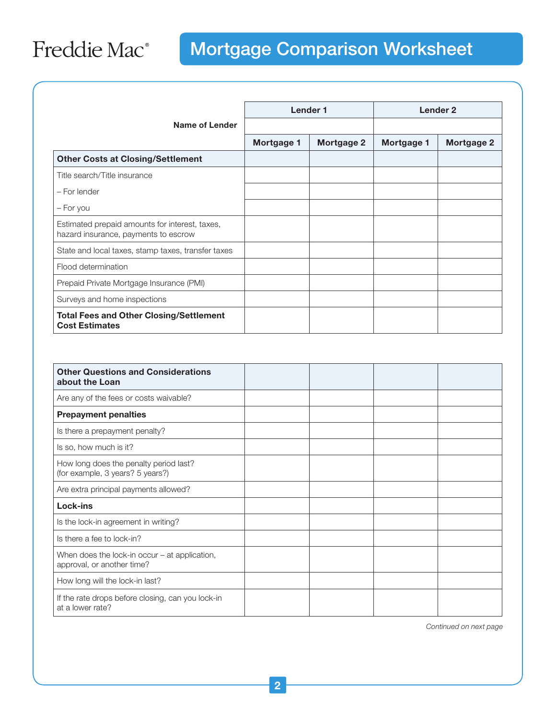## Freddie Mac<sup>®</sup>

## Mortgage Comparison Worksheet

|                                                                                        | <b>Lender 1</b> |                   | Lender <sub>2</sub> |            |
|----------------------------------------------------------------------------------------|-----------------|-------------------|---------------------|------------|
| Name of Lender                                                                         |                 |                   |                     |            |
|                                                                                        | Mortgage 1      | <b>Mortgage 2</b> | Mortgage 1          | Mortgage 2 |
| <b>Other Costs at Closing/Settlement</b>                                               |                 |                   |                     |            |
| Title search/Title insurance                                                           |                 |                   |                     |            |
| - For lender                                                                           |                 |                   |                     |            |
| - For you                                                                              |                 |                   |                     |            |
| Estimated prepaid amounts for interest, taxes,<br>hazard insurance, payments to escrow |                 |                   |                     |            |
| State and local taxes, stamp taxes, transfer taxes                                     |                 |                   |                     |            |
| Flood determination                                                                    |                 |                   |                     |            |
| Prepaid Private Mortgage Insurance (PMI)                                               |                 |                   |                     |            |
| Surveys and home inspections                                                           |                 |                   |                     |            |
| <b>Total Fees and Other Closing/Settlement</b><br><b>Cost Estimates</b>                |                 |                   |                     |            |

| <b>Other Questions and Considerations</b><br>about the Loan                   |  |  |
|-------------------------------------------------------------------------------|--|--|
| Are any of the fees or costs waivable?                                        |  |  |
| <b>Prepayment penalties</b>                                                   |  |  |
| Is there a prepayment penalty?                                                |  |  |
| Is so, how much is it?                                                        |  |  |
| How long does the penalty period last?<br>(for example, 3 years? 5 years?)    |  |  |
| Are extra principal payments allowed?                                         |  |  |
| Lock-ins                                                                      |  |  |
| Is the lock-in agreement in writing?                                          |  |  |
| Is there a fee to lock-in?                                                    |  |  |
| When does the lock-in occur $-$ at application,<br>approval, or another time? |  |  |
| How long will the lock-in last?                                               |  |  |
| If the rate drops before closing, can you lock-in<br>at a lower rate?         |  |  |

*Continued on next page*